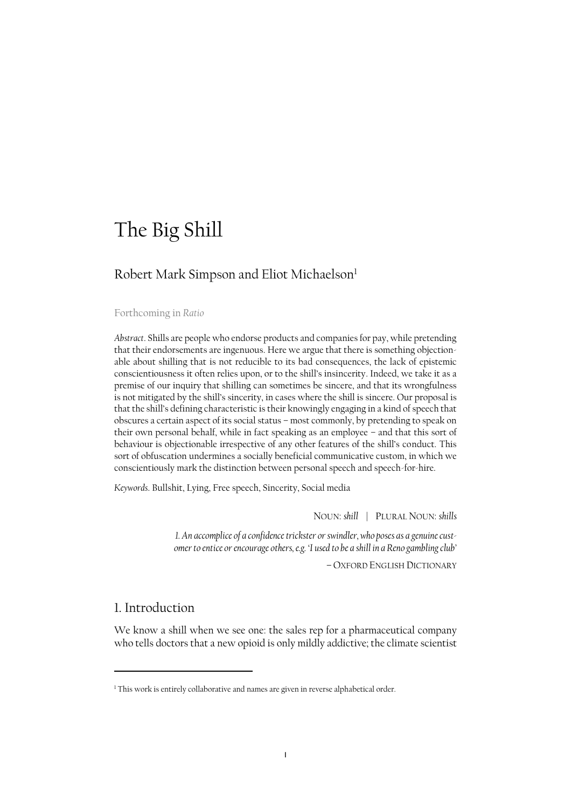# The Big Shill

# Robert Mark Simpson and Eliot Michaelson<sup>1</sup>

#### Forthcoming in *Ratio*

*Abstract*. Shills are people who endorse products and companies for pay, while pretending that their endorsements are ingenuous. Here we argue that there is something objectionable about shilling that is not reducible to its bad consequences, the lack of epistemic conscientiousness it often relies upon, or to the shill's insincerity. Indeed, we take it as a premise of our inquiry that shilling can sometimes be sincere, and that its wrongfulness is not mitigated by the shill's sincerity, in cases where the shill is sincere. Our proposal is that the shill's defining characteristic is their knowingly engaging in a kind of speech that obscures a certain aspect of its social status – most commonly, by pretending to speak on their own personal behalf, while in fact speaking as an employee – and that this sort of behaviour is objectionable irrespective of any other features of the shill's conduct. This sort of obfuscation undermines a socially beneficial communicative custom, in which we conscientiously mark the distinction between personal speech and speech-for-hire.

*Keywords*. Bullshit, Lying, Free speech, Sincerity, Social media

NOUN: *shill* | PLURAL NOUN: *shills*

*1. An accomplice of a confidence trickster or swindler, who poses as a genuine customer to entice or encourage others, e.g. 'I used to be a shill in a Reno gambling club'*

– OXFORD ENGLISH DICTIONARY

#### 1. Introduction

l

We know a shill when we see one: the sales rep for a pharmaceutical company who tells doctors that a new opioid is only mildly addictive; the climate scientist

<sup>&</sup>lt;sup>1</sup> This work is entirely collaborative and names are given in reverse alphabetical order.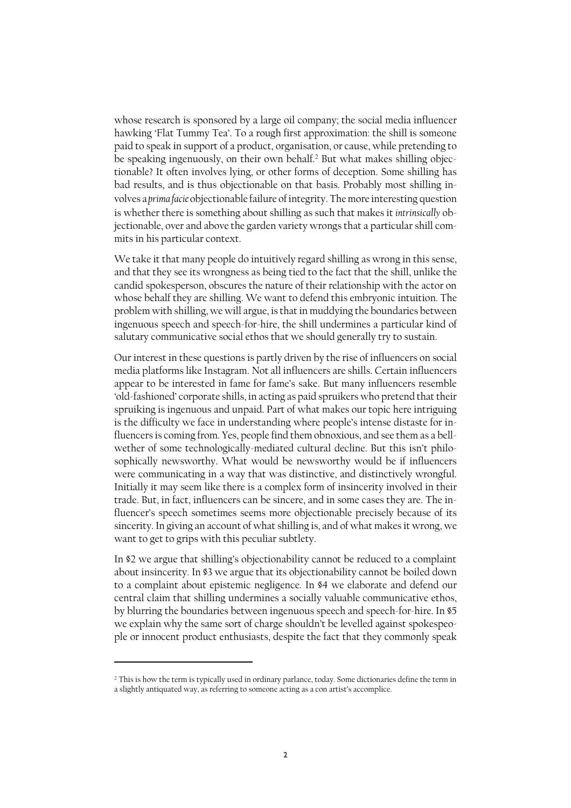whose research is sponsored by a large oil company; the social media influencer hawking 'Flat Tummy Tea'. To a rough first approximation: the shill is someone paid to speak in support of a product, organisation, or cause, while pretending to be speaking ingenuously, on their own behalf.<sup>2</sup> But what makes shilling objectionable? It often involves lying, or other forms of deception. Some shilling has bad results, and is thus objectionable on that basis. Probably most shilling involves a *prima facie* objectionable failure of integrity. The more interesting question is whether there is something about shilling as such that makes it *intrinsically* objectionable, over and above the garden variety wrongs that a particular shill commits in his particular context.

We take it that many people do intuitively regard shilling as wrong in this sense, and that they see its wrongness as being tied to the fact that the shill, unlike the candid spokesperson, obscures the nature of their relationship with the actor on whose behalf they are shilling. We want to defend this embryonic intuition. The problem with shilling, we will argue, is that in muddying the boundaries between ingenuous speech and speech-for-hire, the shill undermines a particular kind of salutary communicative social ethos that we should generally try to sustain.

Our interest in these questions is partly driven by the rise of influencers on social media platforms like Instagram. Not all influencers are shills. Certain influencers appear to be interested in fame for fame's sake. But many influencers resemble 'old-fashioned' corporate shills, in acting as paid spruikers who pretend that their spruiking is ingenuous and unpaid. Part of what makes our topic here intriguing is the difficulty we face in understanding where people's intense distaste for influencers is coming from. Yes, people find them obnoxious, and see them as a bellwether of some technologically-mediated cultural decline. But this isn't philosophically newsworthy. What would be newsworthy would be if influencers were communicating in a way that was distinctive, and distinctively wrongful. Initially it may seem like there is a complex form of insincerity involved in their trade. But, in fact, influencers can be sincere, and in some cases they are. The influencer's speech sometimes seems more objectionable precisely because of its sincerity. In giving an account of what shilling is, and of what makes it wrong, we want to get to grips with this peculiar subtlety.

In §2 we argue that shilling's objectionability cannot be reduced to a complaint about insincerity. In §3 we argue that its objectionability cannot be boiled down to a complaint about epistemic negligence. In §4 we elaborate and defend our central claim that shilling undermines a socially valuable communicative ethos, by blurring the boundaries between ingenuous speech and speech-for-hire. In §5 we explain why the same sort of charge shouldn't be levelled against spokespeople or innocent product enthusiasts, despite the fact that they commonly speak

<sup>&</sup>lt;sup>2</sup> This is how the term is typically used in ordinary parlance, today. Some dictionaries define the term in a slightly antiquated way, as referring to someone acting as a con artist's accomplice.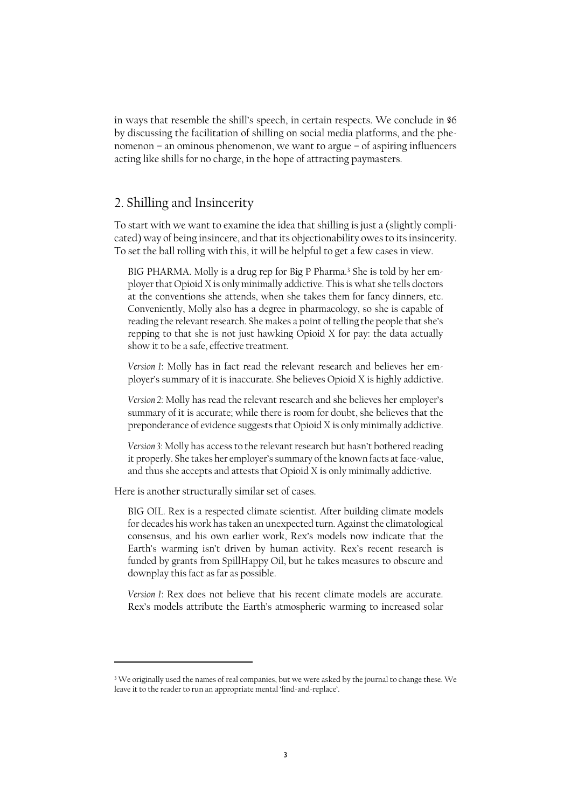in ways that resemble the shill's speech, in certain respects. We conclude in §6 by discussing the facilitation of shilling on social media platforms, and the phenomenon – an ominous phenomenon, we want to argue – of aspiring influencers acting like shills for no charge, in the hope of attracting paymasters.

## 2. Shilling and Insincerity

To start with we want to examine the idea that shilling is just a (slightly complicated) way of being insincere, and that its objectionability owes to itsinsincerity. To set the ball rolling with this, it will be helpful to get a few cases in view.

BIG PHARMA. Molly is a drug rep for Big P Pharma.<sup>3</sup> She is told by her employer that Opioid X is only minimally addictive. This is what she tells doctors at the conventions she attends, when she takes them for fancy dinners, etc. Conveniently, Molly also has a degree in pharmacology, so she is capable of reading the relevant research. She makes a point of telling the people that she's repping to that she is not just hawking Opioid X for pay: the data actually show it to be a safe, effective treatment.

*Version 1*: Molly has in fact read the relevant research and believes her employer's summary of it is inaccurate. She believes Opioid X is highly addictive.

*Version 2*: Molly has read the relevant research and she believes her employer's summary of it is accurate; while there is room for doubt, she believes that the preponderance of evidence suggests that Opioid X is only minimally addictive.

*Version 3*: Molly has access to the relevant research but hasn't bothered reading it properly. She takes her employer's summary of the known facts at face-value, and thus she accepts and attests that Opioid X is only minimally addictive.

Here is another structurally similar set of cases.

 $\overline{a}$ 

BIG OIL. Rex is a respected climate scientist. After building climate models for decades his work has taken an unexpected turn. Against the climatological consensus, and his own earlier work, Rex's models now indicate that the Earth's warming isn't driven by human activity. Rex's recent research is funded by grants from SpillHappy Oil, but he takes measures to obscure and downplay this fact as far as possible.

*Version 1*: Rex does not believe that his recent climate models are accurate. Rex's models attribute the Earth's atmospheric warming to increased solar

<sup>&</sup>lt;sup>3</sup> We originally used the names of real companies, but we were asked by the journal to change these. We leave it to the reader to run an appropriate mental 'find-and-replace'.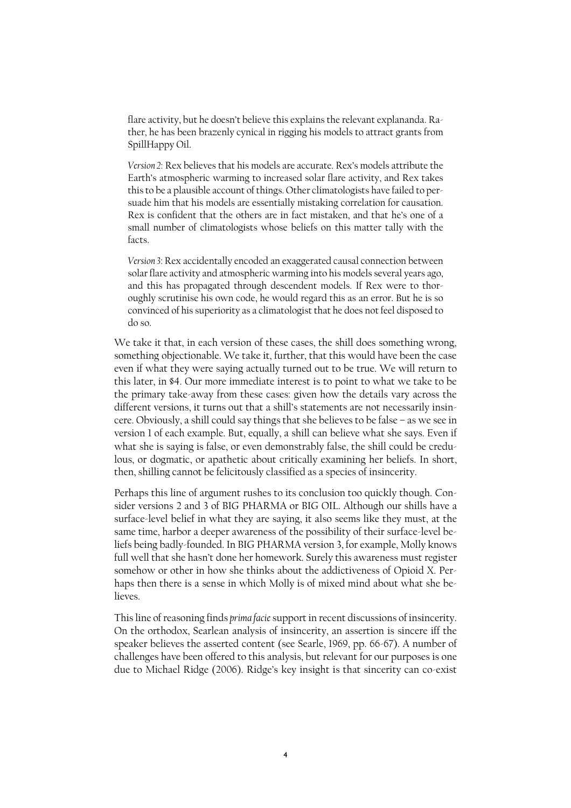flare activity, but he doesn't believe this explains the relevant explananda. Rather, he has been brazenly cynical in rigging his models to attract grants from SpillHappy Oil.

*Version 2*: Rex believes that his models are accurate. Rex's models attribute the Earth's atmospheric warming to increased solar flare activity, and Rex takes this to be a plausible account of things. Other climatologists have failed to persuade him that his models are essentially mistaking correlation for causation. Rex is confident that the others are in fact mistaken, and that he's one of a small number of climatologists whose beliefs on this matter tally with the facts.

*Version 3*: Rex accidentally encoded an exaggerated causal connection between solar flare activity and atmospheric warming into his models several years ago, and this has propagated through descendent models. If Rex were to thoroughly scrutinise his own code, he would regard this as an error. But he is so convinced of his superiority as a climatologist that he does not feel disposed to do so.

We take it that, in each version of these cases, the shill does something wrong, something objectionable. We take it, further, that this would have been the case even if what they were saying actually turned out to be true. We will return to this later, in §4. Our more immediate interest is to point to what we take to be the primary take-away from these cases: given how the details vary across the different versions, it turns out that a shill's statements are not necessarily insincere. Obviously, a shill could say things that she believes to be false – as we see in version 1 of each example. But, equally, a shill can believe what she says. Even if what she is saying is false, or even demonstrably false, the shill could be credulous, or dogmatic, or apathetic about critically examining her beliefs. In short, then, shilling cannot be felicitously classified as a species of insincerity.

Perhaps this line of argument rushes to its conclusion too quickly though. Consider versions 2 and 3 of BIG PHARMA or BIG OIL. Although our shills have a surface-level belief in what they are saying, it also seems like they must, at the same time, harbor a deeper awareness of the possibility of their surface-level beliefs being badly-founded. In BIG PHARMA version 3, for example, Molly knows full well that she hasn't done her homework. Surely this awareness must register somehow or other in how she thinks about the addictiveness of Opioid X. Perhaps then there is a sense in which Molly is of mixed mind about what she believes.

This line of reasoning finds *prima facie*support in recent discussions of insincerity. On the orthodox, Searlean analysis of insincerity, an assertion is sincere iff the speaker believes the asserted content (see Searle, 1969, pp. 66-67). A number of challenges have been offered to this analysis, but relevant for our purposes is one due to Michael Ridge (2006). Ridge's key insight is that sincerity can co-exist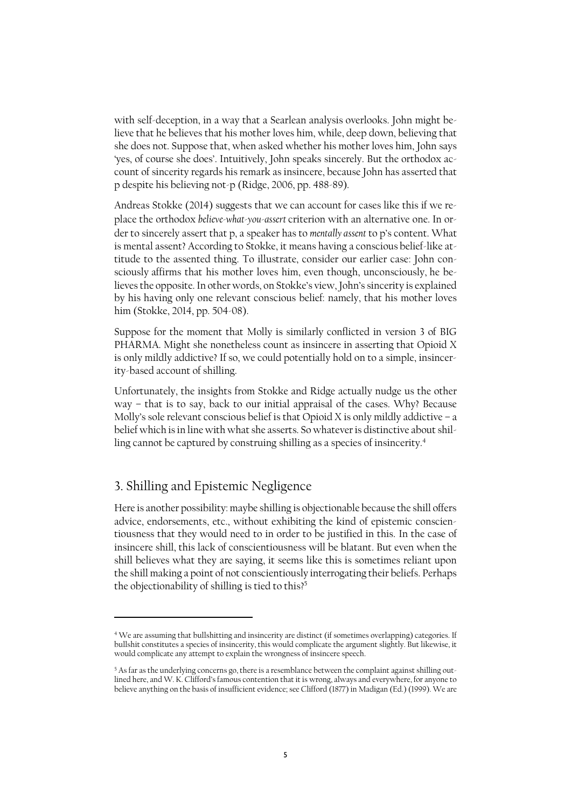with self-deception, in a way that a Searlean analysis overlooks. John might believe that he believes that his mother loves him, while, deep down, believing that she does not. Suppose that, when asked whether his mother loves him, John says 'yes, of course she does'. Intuitively, John speaks sincerely. But the orthodox account of sincerity regards his remark as insincere, because John has asserted that p despite his believing not-p (Ridge, 2006, pp. 488-89).

Andreas Stokke (2014) suggests that we can account for cases like this if we replace the orthodox *believe-what-you-assert* criterion with an alternative one. In order to sincerely assert that p, a speaker has to *mentally assent* to p's content. What is mental assent? According to Stokke, it means having a conscious belief-like attitude to the assented thing. To illustrate, consider our earlier case: John consciously affirms that his mother loves him, even though, unconsciously, he believes the opposite. In other words, on Stokke's view, John's sincerity is explained by his having only one relevant conscious belief: namely, that his mother loves him (Stokke, 2014, pp. 504-08).

Suppose for the moment that Molly is similarly conflicted in version 3 of BIG PHARMA. Might she nonetheless count as insincere in asserting that Opioid X is only mildly addictive? If so, we could potentially hold on to a simple, insincerity-based account of shilling.

Unfortunately, the insights from Stokke and Ridge actually nudge us the other way – that is to say, back to our initial appraisal of the cases. Why? Because Molly's sole relevant conscious belief is that Opioid X is only mildly addictive – a belief which is in line with what she asserts. So whatever is distinctive about shilling cannot be captured by construing shilling as a species of insincerity.<sup>4</sup>

## 3. Shilling and Epistemic Negligence

l

Here is another possibility: maybe shilling is objectionable because the shill offers advice, endorsements, etc., without exhibiting the kind of epistemic conscientiousness that they would need to in order to be justified in this. In the case of insincere shill, this lack of conscientiousness will be blatant. But even when the shill believes what they are saying, it seems like this is sometimes reliant upon the shill making a point of not conscientiously interrogating their beliefs. Perhaps the objectionability of shilling is tied to this? 5

<sup>4</sup> We are assuming that bullshitting and insincerity are distinct (if sometimes overlapping) categories. If bullshit constitutes a species of insincerity, this would complicate the argument slightly. But likewise, it would complicate any attempt to explain the wrongness of insincere speech.

<sup>&</sup>lt;sup>5</sup> As far as the underlying concerns go, there is a resemblance between the complaint against shilling outlined here, and W. K. Clifford's famous contention that it is wrong, always and everywhere, for anyone to believe anything on the basis of insufficient evidence; see Clifford (1877) in Madigan (Ed.) (1999). We are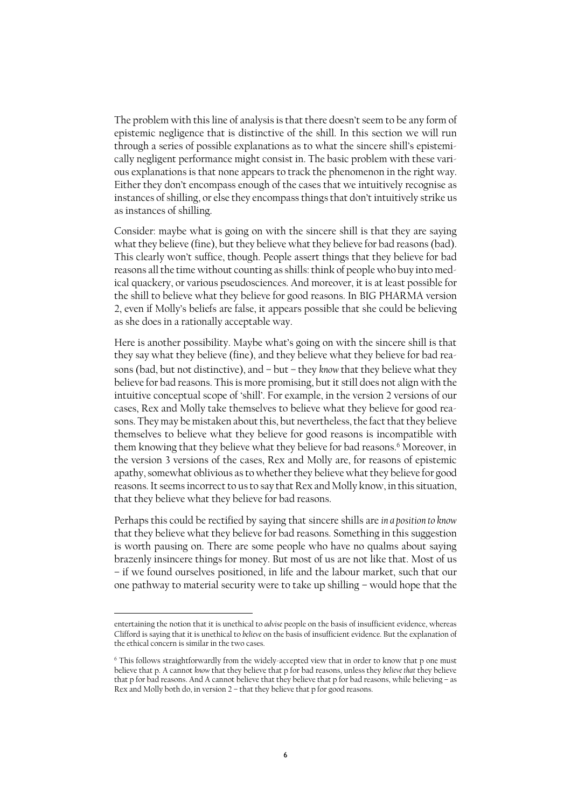The problem with this line of analysis is that there doesn't seem to be any form of epistemic negligence that is distinctive of the shill. In this section we will run through a series of possible explanations as to what the sincere shill's epistemically negligent performance might consist in. The basic problem with these various explanations is that none appears to track the phenomenon in the right way. Either they don't encompass enough of the cases that we intuitively recognise as instances of shilling, or else they encompass things that don't intuitively strike us as instances of shilling.

Consider: maybe what is going on with the sincere shill is that they are saying what they believe (fine), but they believe what they believe for bad reasons (bad). This clearly won't suffice, though. People assert things that they believe for bad reasons all the time without counting as shills: think of people who buy into medical quackery, or various pseudosciences. And moreover, it is at least possible for the shill to believe what they believe for good reasons. In BIG PHARMA version 2, even if Molly's beliefs are false, it appears possible that she could be believing as she does in a rationally acceptable way.

Here is another possibility. Maybe what's going on with the sincere shill is that they say what they believe (fine), and they believe what they believe for bad reasons (bad, but not distinctive), and – but – they *know* that they believe what they believe for bad reasons. This is more promising, but it still does not align with the intuitive conceptual scope of 'shill'. For example, in the version 2 versions of our cases, Rex and Molly take themselves to believe what they believe for good reasons. They may be mistaken about this, but nevertheless, the fact that they believe themselves to believe what they believe for good reasons is incompatible with them knowing that they believe what they believe for bad reasons.<sup>6</sup> Moreover, in the version 3 versions of the cases, Rex and Molly are, for reasons of epistemic apathy, somewhat oblivious as to whether they believe what they believe for good reasons. It seems incorrect to us to say that Rex and Molly know, in this situation, that they believe what they believe for bad reasons.

Perhaps this could be rectified by saying that sincere shills are *in a position to know* that they believe what they believe for bad reasons. Something in this suggestion is worth pausing on. There are some people who have no qualms about saying brazenly insincere things for money. But most of us are not like that. Most of us – if we found ourselves positioned, in life and the labour market, such that our one pathway to material security were to take up shilling – would hope that the

entertaining the notion that it is unethical to *advise* people on the basis of insufficient evidence, whereas Clifford is saying that it is unethical to *believe* on the basis of insufficient evidence. But the explanation of the ethical concern is similar in the two cases.

<sup>&</sup>lt;sup>6</sup> This follows straightforwardly from the widely-accepted view that in order to know that p one must believe that p. A cannot *know* that they believe that p for bad reasons, unless they *believe that* they believe that p for bad reasons. And A cannot believe that they believe that p for bad reasons, while believing – as Rex and Molly both do, in version 2 – that they believe that p for good reasons.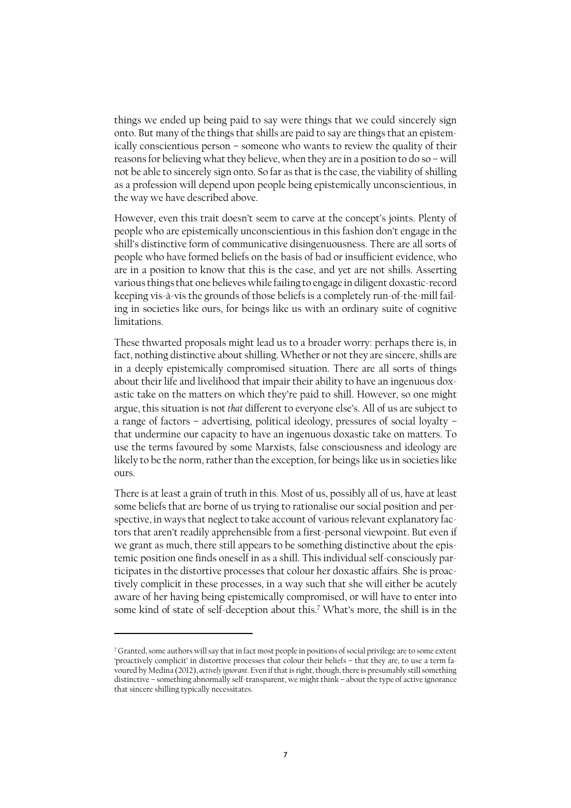things we ended up being paid to say were things that we could sincerely sign onto. But many of the things that shills are paid to say are things that an epistemically conscientious person – someone who wants to review the quality of their reasons for believing what they believe, when they are in a position to do so – will not be able to sincerely sign onto. So far asthat is the case, the viability of shilling as a profession will depend upon people being epistemically unconscientious, in the way we have described above.

However, even this trait doesn't seem to carve at the concept's joints. Plenty of people who are epistemically unconscientious in this fashion don't engage in the shill's distinctive form of communicative disingenuousness. There are all sorts of people who have formed beliefs on the basis of bad or insufficient evidence, who are in a position to know that this is the case, and yet are not shills. Asserting various things that one believes while failing to engage in diligent doxastic-record keeping vis-à-vis the grounds of those beliefs is a completely run-of-the-mill failing in societies like ours, for beings like us with an ordinary suite of cognitive limitations.

These thwarted proposals might lead us to a broader worry: perhaps there is, in fact, nothing distinctive about shilling. Whether or not they are sincere, shills are in a deeply epistemically compromised situation. There are all sorts of things about their life and livelihood that impair their ability to have an ingenuous doxastic take on the matters on which they're paid to shill. However, so one might argue, this situation is not *that* different to everyone else's. All of us are subject to a range of factors – advertising, political ideology, pressures of social loyalty – that undermine our capacity to have an ingenuous doxastic take on matters. To use the terms favoured by some Marxists, false consciousness and ideology are likely to be the norm, rather than the exception, for beings like us in societies like ours.

There is at least a grain of truth in this. Most of us, possibly all of us, have at least some beliefs that are borne of us trying to rationalise our social position and perspective, in ways that neglect to take account of various relevant explanatory factors that aren't readily apprehensible from a first-personal viewpoint. But even if we grant as much, there still appears to be something distinctive about the epistemic position one finds oneself in as a shill. This individual self-consciously participates in the distortive processes that colour her doxastic affairs. She is proactively complicit in these processes, in a way such that she will either be acutely aware of her having being epistemically compromised, or will have to enter into some kind of state of self-deception about this.<sup>7</sup> What's more, the shill is in the

<sup>&</sup>lt;sup>7</sup> Granted, some authors will say that in fact most people in positions of social privilege are to some extent 'proactively complicit' in distortive processes that colour their beliefs – that they are, to use a term favoured by Medina (2012), *actively ignorant*. Even if that is right, though, there is presumably still something distinctive – something abnormally self-transparent, we might think – about the type of active ignorance that sincere shilling typically necessitates.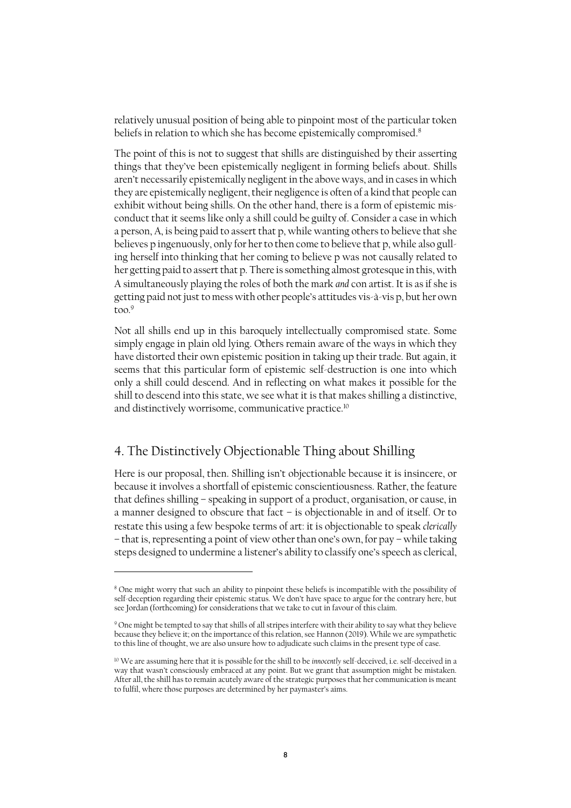relatively unusual position of being able to pinpoint most of the particular token beliefs in relation to which she has become epistemically compromised. 8

The point of this is not to suggest that shills are distinguished by their asserting things that they've been epistemically negligent in forming beliefs about. Shills aren't necessarily epistemically negligent in the above ways, and in cases in which they are epistemically negligent, their negligence is often of a kind that people can exhibit without being shills. On the other hand, there is a form of epistemic misconduct that it seems like only a shill could be guilty of. Consider a case in which a person, A, is being paid to assert that p, while wanting others to believe that she believes p ingenuously, only for her to then come to believe that p, while also gulling herself into thinking that her coming to believe p was not causally related to her getting paid to assert that p. There is something almost grotesque in this, with A simultaneously playing the roles of both the mark *and* con artist. It is as if she is getting paid not just to mess with other people's attitudes vis-à-vis p, but her own too. 9

Not all shills end up in this baroquely intellectually compromised state. Some simply engage in plain old lying. Others remain aware of the ways in which they have distorted their own epistemic position in taking up their trade. But again, it seems that this particular form of epistemic self-destruction is one into which only a shill could descend. And in reflecting on what makes it possible for the shill to descend into this state, we see what it is that makes shilling a distinctive, and distinctively worrisome, communicative practice.<sup>10</sup>

#### 4. The Distinctively Objectionable Thing about Shilling

 $\overline{a}$ 

Here is our proposal, then. Shilling isn't objectionable because it is insincere, or because it involves a shortfall of epistemic conscientiousness. Rather, the feature that defines shilling – speaking in support of a product, organisation, or cause, in a manner designed to obscure that fact – is objectionable in and of itself. Or to restate this using a few bespoke terms of art: it is objectionable to speak *clerically*  – that is, representing a point of view other than one's own, for pay – while taking steps designed to undermine a listener's ability to classify one's speech as clerical,

<sup>8</sup> One might worry that such an ability to pinpoint these beliefs is incompatible with the possibility of self-deception regarding their epistemic status. We don't have space to argue for the contrary here, but see Jordan (forthcoming) for considerations that we take to cut in favour of this claim.

<sup>9</sup> One might be tempted to say that shills of all stripes interfere with their ability to say what they believe because they believe it; on the importance of this relation, see Hannon (2019). While we are sympathetic to this line of thought, we are also unsure how to adjudicate such claims in the present type of case.

<sup>10</sup> We are assuming here that it is possible for the shill to be *innocently* self-deceived, i.e. self-deceived in a way that wasn't consciously embraced at any point. But we grant that assumption might be mistaken. After all, the shill has to remain acutely aware of the strategic purposes that her communication is meant to fulfil, where those purposes are determined by her paymaster's aims.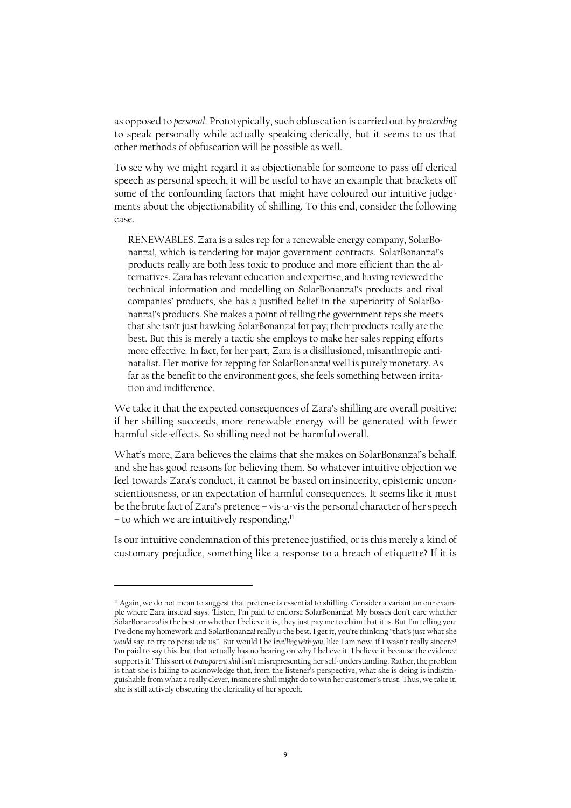as opposed to *personal*. Prototypically, such obfuscation is carried out by *pretending*  to speak personally while actually speaking clerically, but it seems to us that other methods of obfuscation will be possible as well.

To see why we might regard it as objectionable for someone to pass off clerical speech as personal speech, it will be useful to have an example that brackets off some of the confounding factors that might have coloured our intuitive judgements about the objectionability of shilling. To this end, consider the following case.

RENEWABLES. Zara is a sales rep for a renewable energy company, SolarBonanza!, which is tendering for major government contracts. SolarBonanza!'s products really are both less toxic to produce and more efficient than the alternatives. Zara has relevant education and expertise, and having reviewed the technical information and modelling on SolarBonanza!'s products and rival companies' products, she has a justified belief in the superiority of SolarBonanza!'s products. She makes a point of telling the government reps she meets that she isn't just hawking SolarBonanza! for pay; their products really are the best. But this is merely a tactic she employs to make her sales repping efforts more effective. In fact, for her part, Zara is a disillusioned, misanthropic antinatalist. Her motive for repping for SolarBonanza! well is purely monetary. As far as the benefit to the environment goes, she feels something between irritation and indifference.

We take it that the expected consequences of Zara's shilling are overall positive: if her shilling succeeds, more renewable energy will be generated with fewer harmful side-effects. So shilling need not be harmful overall.

What's more, Zara believes the claims that she makes on SolarBonanza!'s behalf, and she has good reasons for believing them. So whatever intuitive objection we feel towards Zara's conduct, it cannot be based on insincerity, epistemic unconscientiousness, or an expectation of harmful consequences. It seems like it must be the brute fact of Zara's pretence – vis-a-vis the personal character of her speech – to which we are intuitively responding.<sup>11</sup>

Is our intuitive condemnation of this pretence justified, or is this merely a kind of customary prejudice, something like a response to a breach of etiquette? If it is

<sup>&</sup>lt;sup>11</sup> Again, we do not mean to suggest that pretense is essential to shilling. Consider a variant on our example where Zara instead says: 'Listen, I'm paid to endorse SolarBonanza!. My bosses don't care whether SolarBonanza! is the best, or whether I believe it is, they just pay me to claim that it is. But I'm telling you: I've done my homework and SolarBonanza! really *is* the best. I get it, you're thinking "that'sjust what she *would* say, to try to persuade us". But would I be *levelling with you*, like I am now, if I wasn't really sincere? I'm paid to say this, but that actually has no bearing on why I believe it. I believe it because the evidence supports it.' This sort of *transparent shill* isn't misrepresenting her self-understanding. Rather, the problem is that she is failing to acknowledge that, from the listener's perspective, what she is doing is indistinguishable from what a really clever, insincere shill might do to win her customer's trust. Thus, we take it, she is still actively obscuring the clericality of her speech.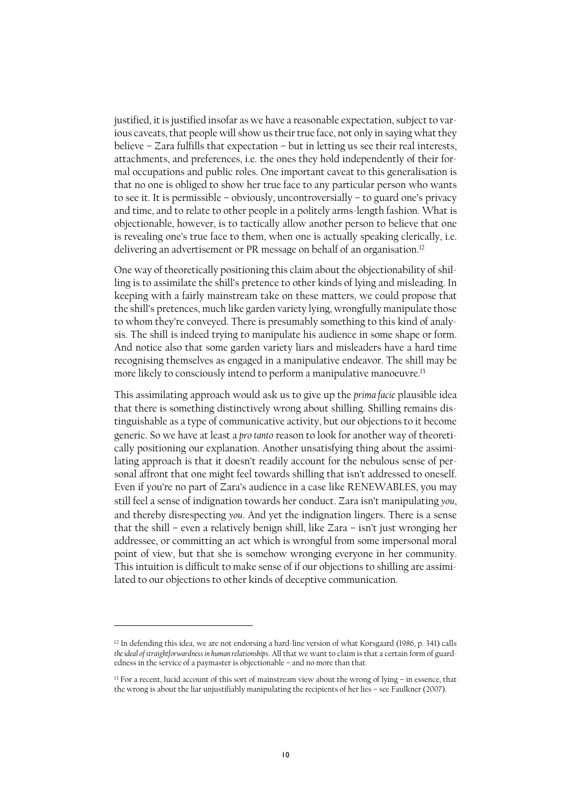justified, it is justified insofar as we have a reasonable expectation, subject to various caveats, that people will show us their true face, not only in saying what they believe – Zara fulfills that expectation – but in letting us see their real interests, attachments, and preferences, i.e. the ones they hold independently of their formal occupations and public roles. One important caveat to this generalisation is that no one is obliged to show her true face to any particular person who wants to see it. It is permissible – obviously, uncontroversially – to guard one's privacy and time, and to relate to other people in a politely arms-length fashion. What is objectionable, however, is to tactically allow another person to believe that one is revealing one's true face to them, when one is actually speaking clerically, i.e. delivering an advertisement or PR message on behalf of an organisation.<sup>12</sup>

One way of theoretically positioning this claim about the objectionability of shilling is to assimilate the shill's pretence to other kinds of lying and misleading. In keeping with a fairly mainstream take on these matters, we could propose that the shill's pretences, much like garden variety lying, wrongfully manipulate those to whom they're conveyed. There is presumably something to this kind of analysis. The shill is indeed trying to manipulate his audience in some shape or form. And notice also that some garden variety liars and misleaders have a hard time recognising themselves as engaged in a manipulative endeavor. The shill may be more likely to consciously intend to perform a manipulative manoeuvre.<sup>13</sup>

This assimilating approach would ask us to give up the *prima facie* plausible idea that there is something distinctively wrong about shilling. Shilling remains distinguishable as a type of communicative activity, but our objections to it become generic. So we have at least a *pro tanto* reason to look for another way of theoretically positioning our explanation. Another unsatisfying thing about the assimilating approach is that it doesn't readily account for the nebulous sense of personal affront that one might feel towards shilling that isn't addressed to oneself. Even if you're no part of Zara's audience in a case like RENEWABLES, you may still feel a sense of indignation towards her conduct. Zara isn't manipulating *you*, and thereby disrespecting *you*. And yet the indignation lingers. There is a sense that the shill – even a relatively benign shill, like Zara – isn't just wronging her addressee, or committing an act which is wrongful from some impersonal moral point of view, but that she is somehow wronging everyone in her community. This intuition is difficult to make sense of if our objections to shilling are assimilated to our objections to other kinds of deceptive communication.

<sup>12</sup> In defending this idea, we are not endorsing a hard-line version of what Korsgaard (1986, p. 341) calls *the ideal of straightforwardness in human relationships*. All that we want to claim is that a certain form of guardedness in the service of a paymaster is objectionable – and no more than that.

<sup>&</sup>lt;sup>13</sup> For a recent, lucid account of this sort of mainstream view about the wrong of lying – in essence, that the wrong is about the liar unjustifiably manipulating the recipients of her lies – see Faulkner (2007).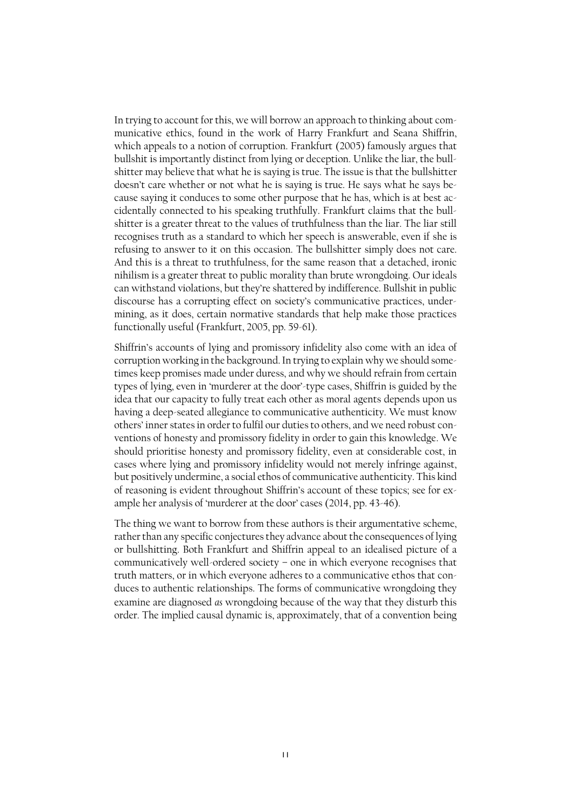In trying to account for this, we will borrow an approach to thinking about communicative ethics, found in the work of Harry Frankfurt and Seana Shiffrin, which appeals to a notion of corruption. Frankfurt (2005) famously argues that bullshit is importantly distinct from lying or deception. Unlike the liar, the bullshitter may believe that what he is saying is true. The issue is that the bullshitter doesn't care whether or not what he is saying is true. He says what he says because saying it conduces to some other purpose that he has, which is at best accidentally connected to his speaking truthfully. Frankfurt claims that the bullshitter is a greater threat to the values of truthfulness than the liar. The liar still recognises truth as a standard to which her speech is answerable, even if she is refusing to answer to it on this occasion. The bullshitter simply does not care. And this is a threat to truthfulness, for the same reason that a detached, ironic nihilism is a greater threat to public morality than brute wrongdoing. Our ideals can withstand violations, but they're shattered by indifference. Bullshit in public discourse has a corrupting effect on society's communicative practices, undermining, as it does, certain normative standards that help make those practices functionally useful (Frankfurt, 2005, pp. 59-61).

Shiffrin's accounts of lying and promissory infidelity also come with an idea of corruption working in the background. In trying to explain why we should sometimes keep promises made under duress, and why we should refrain from certain types of lying, even in 'murderer at the door'-type cases, Shiffrin is guided by the idea that our capacity to fully treat each other as moral agents depends upon us having a deep-seated allegiance to communicative authenticity. We must know others' inner states in order to fulfil our duties to others, and we need robust conventions of honesty and promissory fidelity in order to gain this knowledge. We should prioritise honesty and promissory fidelity, even at considerable cost, in cases where lying and promissory infidelity would not merely infringe against, but positively undermine, a social ethos of communicative authenticity. This kind of reasoning is evident throughout Shiffrin's account of these topics; see for example her analysis of 'murderer at the door' cases (2014, pp. 43-46).

The thing we want to borrow from these authors is their argumentative scheme, rather than any specific conjectures they advance about the consequences of lying or bullshitting. Both Frankfurt and Shiffrin appeal to an idealised picture of a communicatively well-ordered society – one in which everyone recognises that truth matters, or in which everyone adheres to a communicative ethos that conduces to authentic relationships. The forms of communicative wrongdoing they examine are diagnosed *as* wrongdoing because of the way that they disturb this order. The implied causal dynamic is, approximately, that of a convention being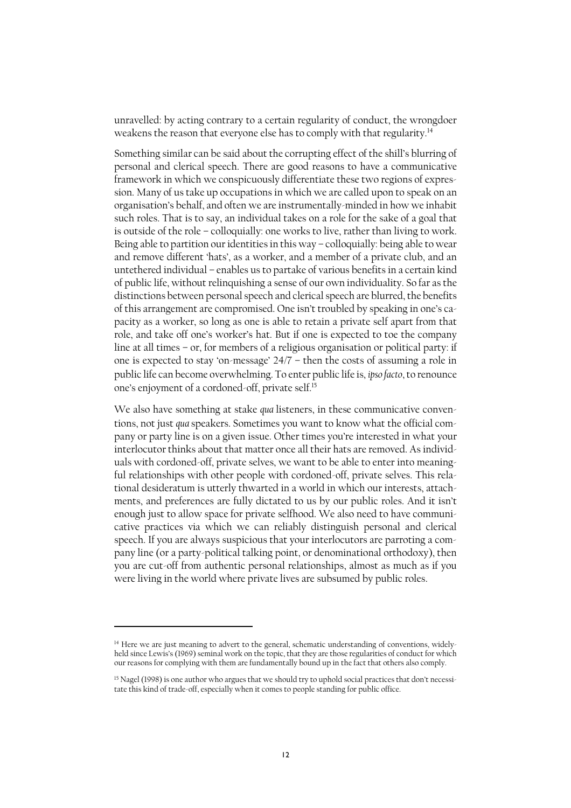unravelled: by acting contrary to a certain regularity of conduct, the wrongdoer weakens the reason that everyone else has to comply with that regularity.<sup>14</sup>

Something similar can be said about the corrupting effect of the shill's blurring of personal and clerical speech. There are good reasons to have a communicative framework in which we conspicuously differentiate these two regions of expression. Many of us take up occupations in which we are called upon to speak on an organisation's behalf, and often we are instrumentally-minded in how we inhabit such roles. That is to say, an individual takes on a role for the sake of a goal that is outside of the role – colloquially: one works to live, rather than living to work. Being able to partition our identities in this way – colloquially: being able to wear and remove different 'hats', as a worker, and a member of a private club, and an untethered individual – enables us to partake of various benefits in a certain kind of public life, without relinquishing a sense of our own individuality. So far asthe distinctions between personal speech and clerical speech are blurred, the benefits of this arrangement are compromised. One isn't troubled by speaking in one's capacity as a worker, so long as one is able to retain a private self apart from that role, and take off one's worker's hat. But if one is expected to toe the company line at all times – or, for members of a religious organisation or political party: if one is expected to stay 'on-message' 24/7 – then the costs of assuming a role in public life can become overwhelming. To enter public life is, *ipso facto*, to renounce one's enjoyment of a cordoned-off, private self. 15

We also have something at stake *qua* listeners, in these communicative conventions, not just *qua* speakers. Sometimes you want to know what the official company or party line is on a given issue. Other times you're interested in what your interlocutor thinks about that matter once all their hats are removed. As individuals with cordoned-off, private selves, we want to be able to enter into meaningful relationships with other people with cordoned-off, private selves. This relational desideratum is utterly thwarted in a world in which our interests, attachments, and preferences are fully dictated to us by our public roles. And it isn't enough just to allow space for private selfhood. We also need to have communicative practices via which we can reliably distinguish personal and clerical speech. If you are always suspicious that your interlocutors are parroting a company line (or a party-political talking point, or denominational orthodoxy), then you are cut-off from authentic personal relationships, almost as much as if you were living in the world where private lives are subsumed by public roles.

<sup>&</sup>lt;sup>14</sup> Here we are just meaning to advert to the general, schematic understanding of conventions, widelyheld since Lewis's (1969) seminal work on the topic, that they are those regularities of conduct for which our reasons for complying with them are fundamentally bound up in the fact that others also comply.

<sup>&</sup>lt;sup>15</sup> Nagel (1998) is one author who argues that we should try to uphold social practices that don't necessitate this kind of trade-off, especially when it comes to people standing for public office.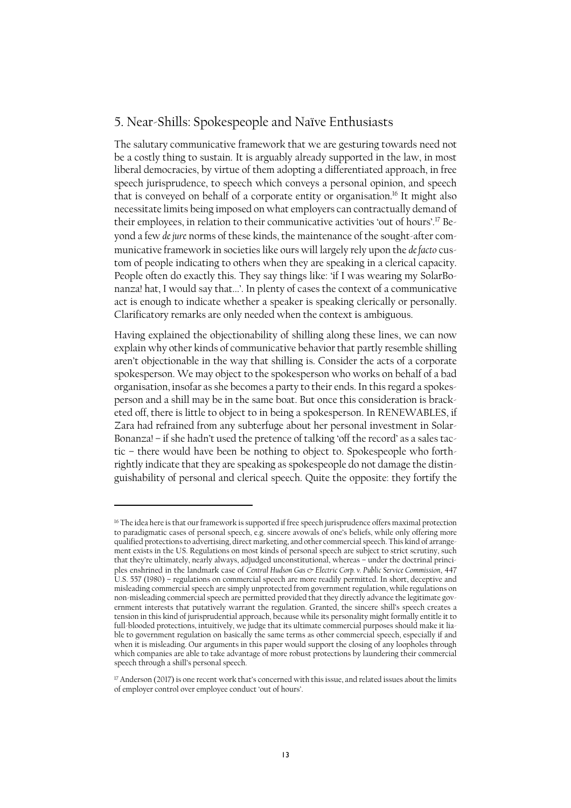#### 5. Near-Shills: Spokespeople and Naïve Enthusiasts

The salutary communicative framework that we are gesturing towards need not be a costly thing to sustain. It is arguably already supported in the law, in most liberal democracies, by virtue of them adopting a differentiated approach, in free speech jurisprudence, to speech which conveys a personal opinion, and speech that is conveyed on behalf of a corporate entity or organisation.<sup>16</sup> It might also necessitate limits being imposed on what employers can contractually demand of their employees, in relation to their communicative activities 'out of hours'.<sup>17</sup> Beyond a few *de jure* norms of these kinds, the maintenance of the sought-after communicative framework in societies like ours will largely rely upon the *de facto* custom of people indicating to others when they are speaking in a clerical capacity. People often do exactly this. They say things like: 'if I was wearing my SolarBonanza! hat, I would say that...'. In plenty of cases the context of a communicative act is enough to indicate whether a speaker is speaking clerically or personally. Clarificatory remarks are only needed when the context is ambiguous.

Having explained the objectionability of shilling along these lines, we can now explain why other kinds of communicative behavior that partly resemble shilling aren't objectionable in the way that shilling is. Consider the acts of a corporate spokesperson. We may object to the spokesperson who works on behalf of a bad organisation, insofar as she becomes a party to their ends. In this regard a spokesperson and a shill may be in the same boat. But once this consideration is bracketed off, there is little to object to in being a spokesperson. In RENEWABLES, if Zara had refrained from any subterfuge about her personal investment in Solar-Bonanza! – if she hadn't used the pretence of talking 'off the record' as a sales tactic – there would have been be nothing to object to. Spokespeople who forthrightly indicate that they are speaking as spokespeople do not damage the distinguishability of personal and clerical speech. Quite the opposite: they fortify the

<sup>16</sup> The idea here is that our framework is supported if free speech jurisprudence offers maximal protection to paradigmatic cases of personal speech, e.g. sincere avowals of one's beliefs, while only offering more qualified protections to advertising, direct marketing, and other commercial speech. This kind of arrangement exists in the US. Regulations on most kinds of personal speech are subject to strict scrutiny, such that they're ultimately, nearly always, adjudged unconstitutional, whereas – under the doctrinal principles enshrined in the landmark case of *Central Hudson Gas & Electric Corp. v. Public Service Commission*, 447 U.S. 557 (1980) – regulations on commercial speech are more readily permitted. In short, deceptive and misleading commercial speech are simply unprotected from government regulation, while regulations on non-misleading commercial speech are permitted provided that they directly advance the legitimate government interests that putatively warrant the regulation. Granted, the sincere shill's speech creates a tension in this kind of jurisprudential approach, because while its personality might formally entitle it to full-blooded protections, intuitively, we judge that its ultimate commercial purposes should make it liable to government regulation on basically the same terms as other commercial speech, especially if and when it is misleading. Our arguments in this paper would support the closing of any loopholes through which companies are able to take advantage of more robust protections by laundering their commercial speech through a shill's personal speech.

<sup>&</sup>lt;sup>17</sup> Anderson (2017) is one recent work that's concerned with this issue, and related issues about the limits of employer control over employee conduct 'out of hours'.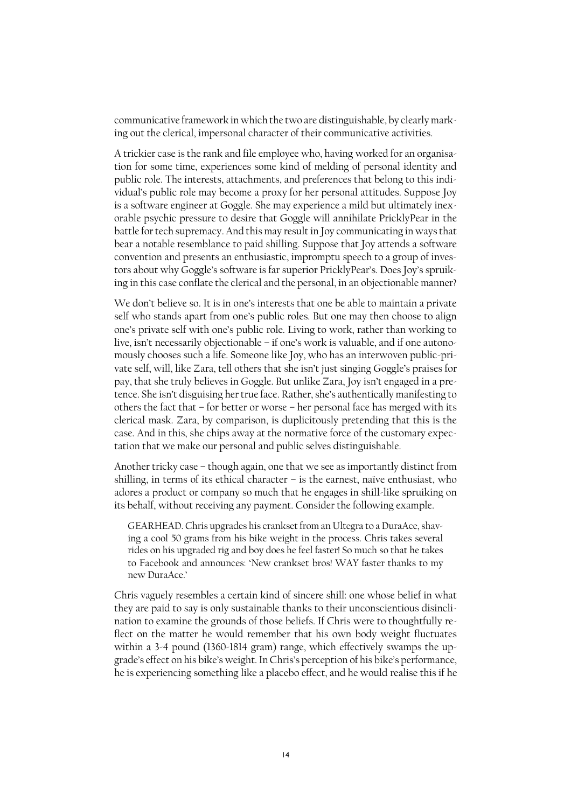communicative framework in which the two are distinguishable, by clearly marking out the clerical, impersonal character of their communicative activities.

A trickier case is the rank and file employee who, having worked for an organisation for some time, experiences some kind of melding of personal identity and public role. The interests, attachments, and preferences that belong to this individual's public role may become a proxy for her personal attitudes. Suppose Joy is a software engineer at Goggle. She may experience a mild but ultimately inexorable psychic pressure to desire that Goggle will annihilate PricklyPear in the battle for tech supremacy. And this may result in Joy communicating in ways that bear a notable resemblance to paid shilling. Suppose that Joy attends a software convention and presents an enthusiastic, impromptu speech to a group of investors about why Goggle's software is far superior PricklyPear's. Does Joy's spruiking in this case conflate the clerical and the personal, in an objectionable manner?

We don't believe so. It is in one's interests that one be able to maintain a private self who stands apart from one's public roles. But one may then choose to align one's private self with one's public role. Living to work, rather than working to live, isn't necessarily objectionable – if one's work is valuable, and if one autonomously chooses such a life. Someone like Joy, who has an interwoven public-private self, will, like Zara, tell others that she isn't just singing Goggle's praises for pay, that she truly believes in Goggle. But unlike Zara, Joy isn't engaged in a pretence. She isn't disguising her true face. Rather, she's authentically manifesting to others the fact that – for better or worse – her personal face has merged with its clerical mask. Zara, by comparison, is duplicitously pretending that this is the case. And in this, she chips away at the normative force of the customary expectation that we make our personal and public selves distinguishable.

Another tricky case – though again, one that we see as importantly distinct from shilling, in terms of its ethical character – is the earnest, naïve enthusiast, who adores a product or company so much that he engages in shill-like spruiking on its behalf, without receiving any payment. Consider the following example.

GEARHEAD. Chris upgrades his crankset from an Ultegra to a DuraAce, shaving a cool 50 grams from his bike weight in the process. Chris takes several rides on his upgraded rig and boy does he feel faster! So much so that he takes to Facebook and announces: 'New crankset bros! WAY faster thanks to my new DuraAce.'

Chris vaguely resembles a certain kind of sincere shill: one whose belief in what they are paid to say is only sustainable thanks to their unconscientious disinclination to examine the grounds of those beliefs. If Chris were to thoughtfully reflect on the matter he would remember that his own body weight fluctuates within a 3-4 pound (1360-1814 gram) range, which effectively swamps the upgrade's effect on his bike's weight. In Chris's perception of his bike's performance, he is experiencing something like a placebo effect, and he would realise this if he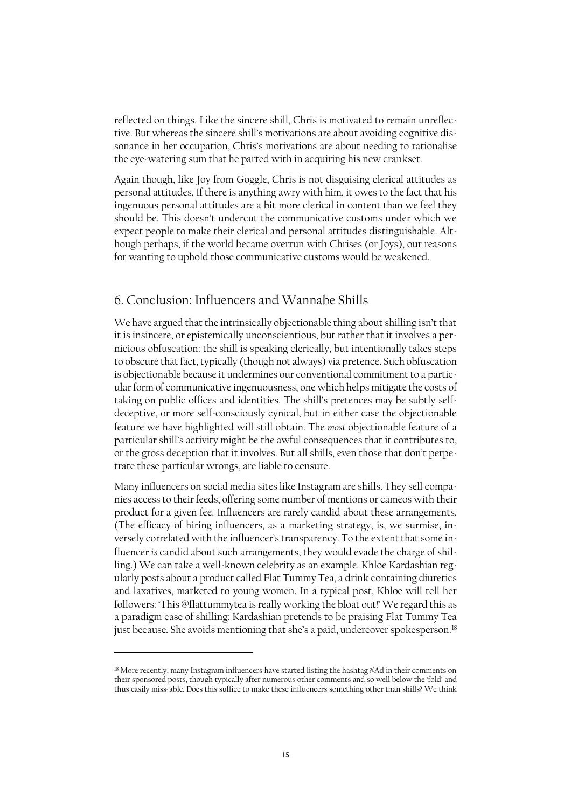reflected on things. Like the sincere shill, Chris is motivated to remain unreflective. But whereas the sincere shill's motivations are about avoiding cognitive dissonance in her occupation, Chris's motivations are about needing to rationalise the eye-watering sum that he parted with in acquiring his new crankset.

Again though, like Joy from Goggle, Chris is not disguising clerical attitudes as personal attitudes. If there is anything awry with him, it owes to the fact that his ingenuous personal attitudes are a bit more clerical in content than we feel they should be. This doesn't undercut the communicative customs under which we expect people to make their clerical and personal attitudes distinguishable. Although perhaps, if the world became overrun with Chrises (or Joys), our reasons for wanting to uphold those communicative customs would be weakened.

#### 6. Conclusion: Influencers and Wannabe Shills

We have argued that the intrinsically objectionable thing about shilling isn't that it is insincere, or epistemically unconscientious, but rather that it involves a pernicious obfuscation: the shill is speaking clerically, but intentionally takes steps to obscure that fact, typically (though not always) via pretence. Such obfuscation is objectionable because it undermines our conventional commitment to a particular form of communicative ingenuousness, one which helps mitigate the costs of taking on public offices and identities. The shill's pretences may be subtly selfdeceptive, or more self-consciously cynical, but in either case the objectionable feature we have highlighted will still obtain. The *most* objectionable feature of a particular shill's activity might be the awful consequences that it contributes to, or the gross deception that it involves. But all shills, even those that don't perpetrate these particular wrongs, are liable to censure.

Many influencers on social media sites like Instagram are shills. They sell companies access to their feeds, offering some number of mentions or cameos with their product for a given fee. Influencers are rarely candid about these arrangements. (The efficacy of hiring influencers, as a marketing strategy, is, we surmise, inversely correlated with the influencer's transparency. To the extent that some influencer *is* candid about such arrangements, they would evade the charge of shilling.) We can take a well-known celebrity as an example. Khloe Kardashian regularly posts about a product called Flat Tummy Tea, a drink containing diuretics and laxatives, marketed to young women. In a typical post, Khloe will tell her followers: 'This @flattummytea is really working the bloat out!' We regard this as a paradigm case of shilling: Kardashian pretends to be praising Flat Tummy Tea just because. She avoids mentioning that she's a paid, undercover spokesperson.<sup>18</sup>

<sup>18</sup> More recently, many Instagram influencers have started listing the hashtag #Ad in their comments on their sponsored posts, though typically after numerous other comments and so well below the 'fold' and thus easily miss-able. Does this suffice to make these influencers something other than shills? We think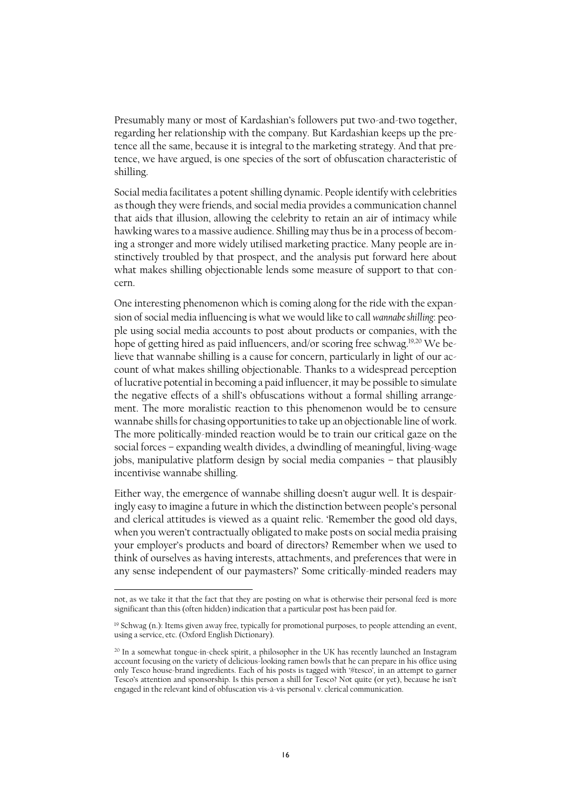Presumably many or most of Kardashian's followers put two-and-two together, regarding her relationship with the company. But Kardashian keeps up the pretence all the same, because it is integral to the marketing strategy. And that pretence, we have argued, is one species of the sort of obfuscation characteristic of shilling.

Social media facilitates a potent shilling dynamic. People identify with celebrities as though they were friends, and social media provides a communication channel that aids that illusion, allowing the celebrity to retain an air of intimacy while hawking wares to a massive audience. Shilling may thus be in a process of becoming a stronger and more widely utilised marketing practice. Many people are instinctively troubled by that prospect, and the analysis put forward here about what makes shilling objectionable lends some measure of support to that concern.

One interesting phenomenon which is coming along for the ride with the expansion of social media influencing is what we would like to call *wannabe shilling*: people using social media accounts to post about products or companies, with the hope of getting hired as paid influencers, and/or scoring free schwag. 19,20 We believe that wannabe shilling is a cause for concern, particularly in light of our account of what makes shilling objectionable. Thanks to a widespread perception of lucrative potential in becoming a paid influencer, it may be possible to simulate the negative effects of a shill's obfuscations without a formal shilling arrangement. The more moralistic reaction to this phenomenon would be to censure wannabe shills for chasing opportunities to take up an objectionable line of work. The more politically-minded reaction would be to train our critical gaze on the social forces – expanding wealth divides, a dwindling of meaningful, living-wage jobs, manipulative platform design by social media companies – that plausibly incentivise wannabe shilling.

Either way, the emergence of wannabe shilling doesn't augur well. It is despairingly easy to imagine a future in which the distinction between people's personal and clerical attitudes is viewed as a quaint relic. 'Remember the good old days, when you weren't contractually obligated to make posts on social media praising your employer's products and board of directors? Remember when we used to think of ourselves as having interests, attachments, and preferences that were in any sense independent of our paymasters?' Some critically-minded readers may

not, as we take it that the fact that they are posting on what is otherwise their personal feed is more significant than this (often hidden) indication that a particular post has been paid for.

<sup>&</sup>lt;sup>19</sup> Schwag (n.): Items given away free, typically for promotional purposes, to people attending an event, using a service, etc. (Oxford English Dictionary).

<sup>&</sup>lt;sup>20</sup> In a somewhat tongue-in-cheek spirit, a philosopher in the UK has recently launched an Instagram account focusing on the variety of delicious-looking ramen bowls that he can prepare in his office using only Tesco house-brand ingredients. Each of his posts is tagged with '#tesco', in an attempt to garner Tesco's attention and sponsorship. Is this person a shill for Tesco? Not quite (or yet), because he isn't engaged in the relevant kind of obfuscation vis-à-vis personal v. clerical communication.